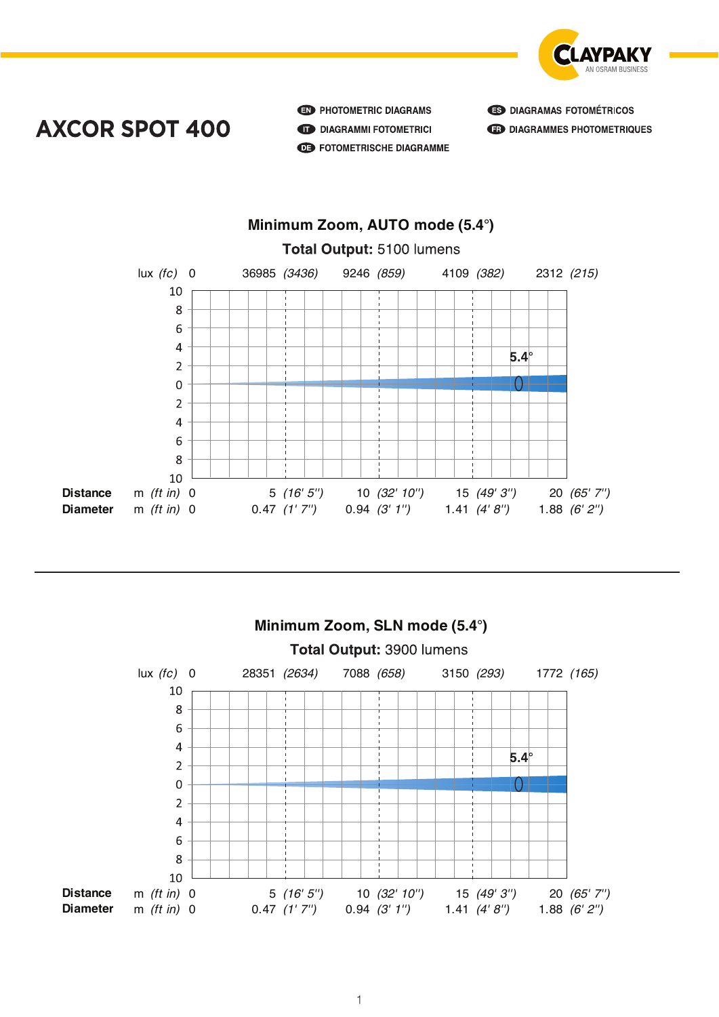

**AXCOR SPOT 400** 

**ED** PHOTOMETRIC DIAGRAMS **DIAGRAMMI FOTOMETRICI AB** FOTOMETRISCHE DIAGRAMME **B** DIAGRAMAS FOTOMÉTRICOS **ED DIAGRAMMES PHOTOMETRIQUES** 







**Axcor Spot 400**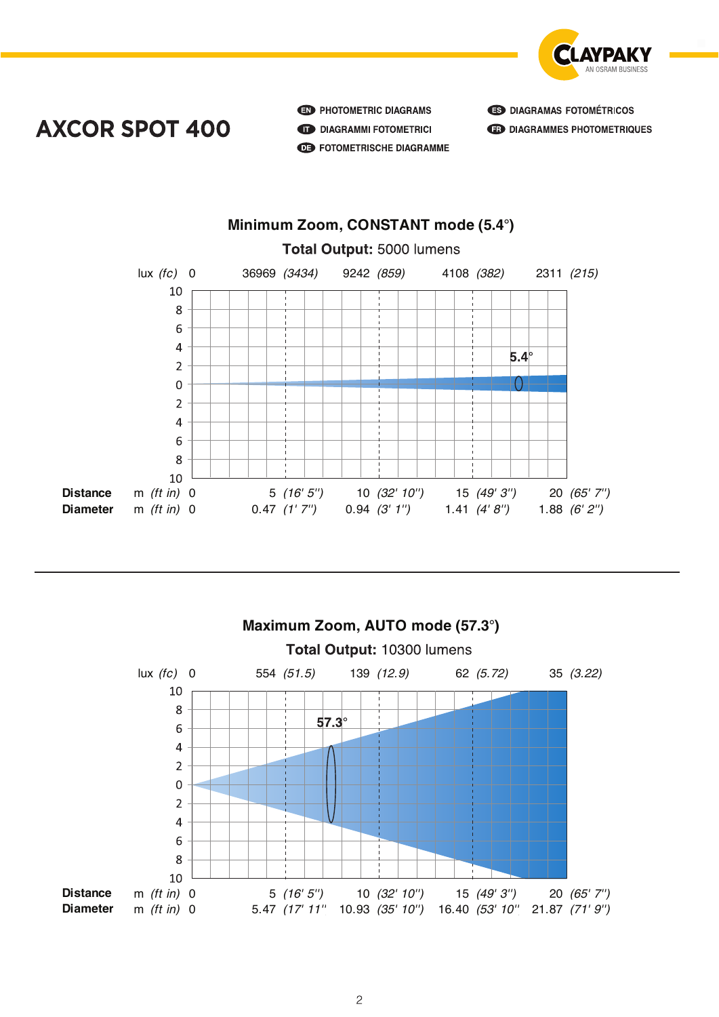

## **AXCOR SPOT 400**

**ED** PHOTOMETRIC DIAGRAMS **DIAGRAMMI FOTOMETRICI AB** FOTOMETRISCHE DIAGRAMME







**Axcor Spot 400**